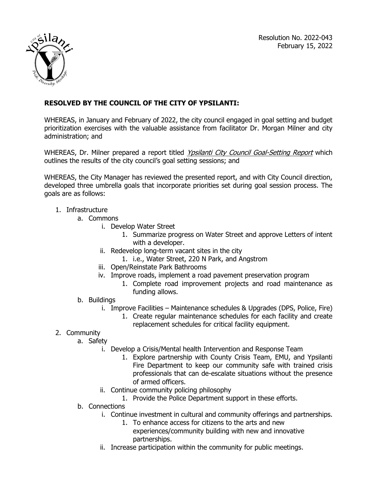

## **RESOLVED BY THE COUNCIL OF THE CITY OF YPSILANTI:**

WHEREAS, in January and February of 2022, the city council engaged in goal setting and budget prioritization exercises with the valuable assistance from facilitator Dr. Morgan Milner and city administration; and

WHEREAS, Dr. Milner prepared a report titled Ypsilanti City Council Goal-Setting Report which outlines the results of the city council's goal setting sessions; and

WHEREAS, the City Manager has reviewed the presented report, and with City Council direction, developed three umbrella goals that incorporate priorities set during goal session process. The goals are as follows:

## 1. Infrastructure

- a. Commons
	- i. Develop Water Street
		- 1. Summarize progress on Water Street and approve Letters of intent with a developer.
	- ii. Redevelop long-term vacant sites in the city
		- 1. i.e., Water Street, 220 N Park, and Angstrom
	- iii. Open/Reinstate Park Bathrooms
	- iv. Improve roads, implement a road pavement preservation program
		- 1. Complete road improvement projects and road maintenance as funding allows.

## b. Buildings

- i. Improve Facilities Maintenance schedules & Upgrades (DPS, Police, Fire)
	- 1. Create regular maintenance schedules for each facility and create replacement schedules for critical facility equipment.

## 2. Community

- a. Safety
	- i. Develop a Crisis/Mental health Intervention and Response Team
		- 1. Explore partnership with County Crisis Team, EMU, and Ypsilanti Fire Department to keep our community safe with trained crisis professionals that can de-escalate situations without the presence of armed officers.
	- ii. Continue community policing philosophy
		- 1. Provide the Police Department support in these efforts.
- b. Connections
	- i. Continue investment in cultural and community offerings and partnerships.
		- 1. To enhance access for citizens to the arts and new experiences/community building with new and innovative partnerships.
	- ii. Increase participation within the community for public meetings.